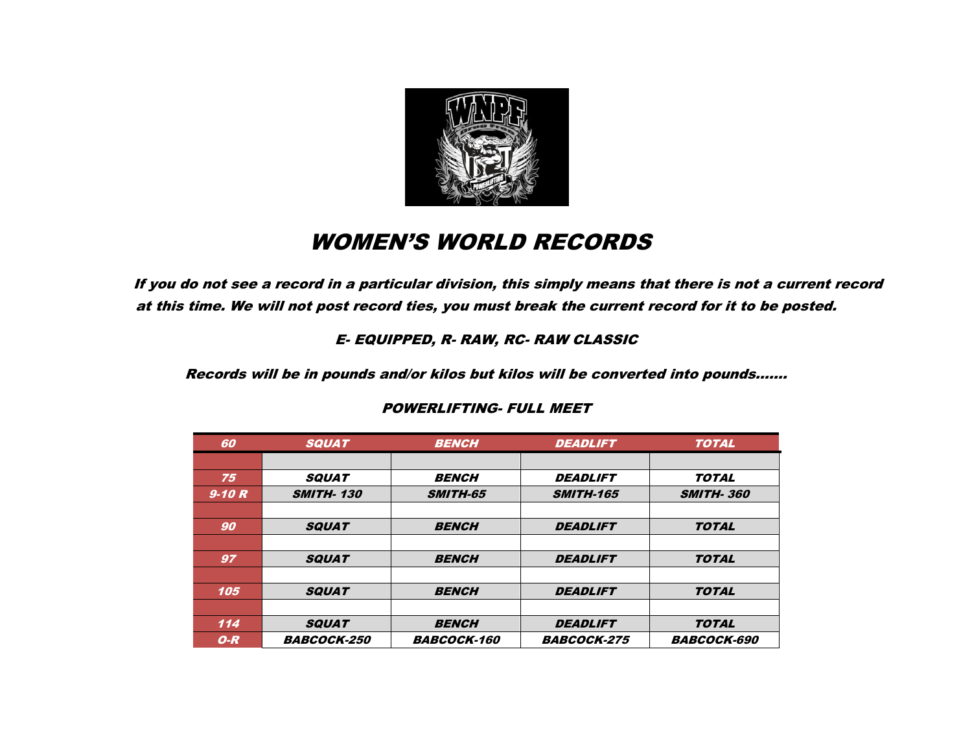

# WOMEN'S WORLD RECORDS

If you do not see a record in a particular division, this simply means that there is not a current record at this time. We will not post record ties, you must break the current record for it to be posted.

#### E- EQUIPPED, R- RAW, RC- RAW CLASSIC

Records will be in pounds and/or kilos but kilos will be converted into pounds…….

| 60      | <b>SQUAT</b>       | <b>BENCH</b>       | <b>DEADLIFT</b>    | <b>TOTAL</b>       |
|---------|--------------------|--------------------|--------------------|--------------------|
|         |                    |                    |                    |                    |
| 75      | <b>SQUAT</b>       | <b>BENCH</b>       | <b>DEADLIFT</b>    | <b>TOTAL</b>       |
| $9-10R$ | <b>SMITH-130</b>   | <b>SMITH-65</b>    | <b>SMITH-165</b>   | <b>SMITH-360</b>   |
|         |                    |                    |                    |                    |
| 90      | <b>SQUAT</b>       | <b>BENCH</b>       | <b>DEADLIFT</b>    | <b>TOTAL</b>       |
|         |                    |                    |                    |                    |
| 97      | <b>SQUAT</b>       | <b>BENCH</b>       | <b>DEADLIFT</b>    | <b>TOTAL</b>       |
|         |                    |                    |                    |                    |
| 105     | <b>SQUAT</b>       | <b>BENCH</b>       | <b>DEADLIFT</b>    | <b>TOTAL</b>       |
|         |                    |                    |                    |                    |
| 114     | <b>SQUAT</b>       | <b>BENCH</b>       | <b>DEADLIFT</b>    | <b>TOTAL</b>       |
| $O-R$   | <b>BABCOCK-250</b> | <b>BABCOCK-160</b> | <b>BABCOCK-275</b> | <b>BABCOCK-690</b> |

#### POWERLIFTING- FULL MEET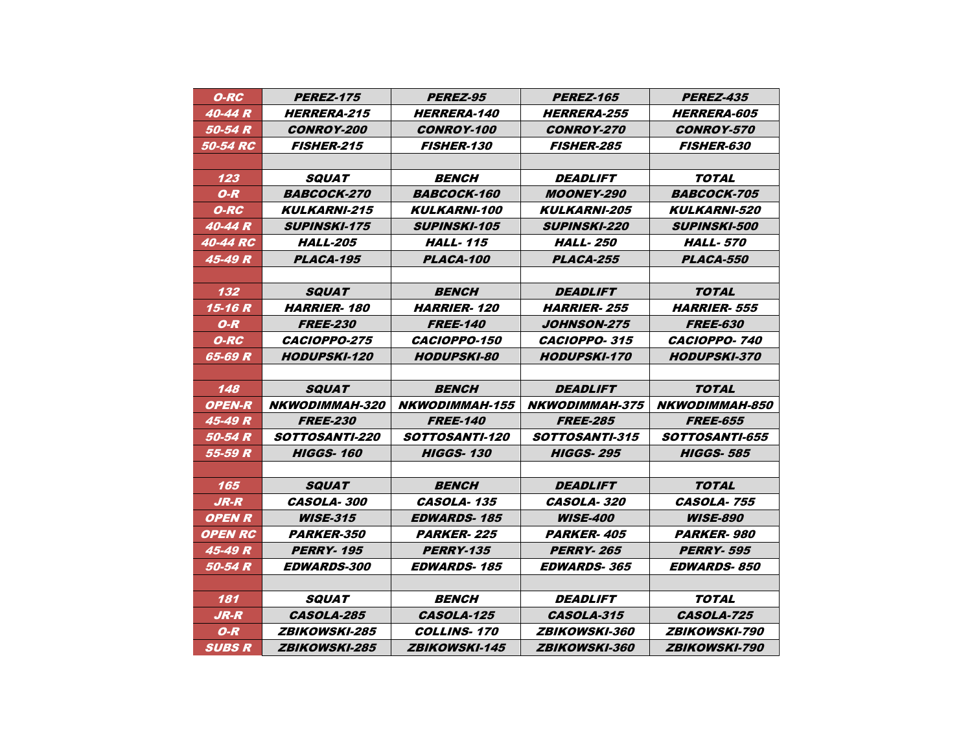| O-RC                  | <i><b>PEREZ-175</b></i>     | <b>PEREZ-95</b>              | <i><b>PEREZ-165</b></i>      | <b>PEREZ-435</b>            |
|-----------------------|-----------------------------|------------------------------|------------------------------|-----------------------------|
| 40-44 R               | <b>HERRERA-215</b>          | <b>HERRERA-140</b>           | <b>HERRERA-255</b>           | <i><b>HERRERA-605</b></i>   |
| 50-54 R               | <b>CONROY-200</b>           | <b>CONROY-100</b>            | <b>CONROY-270</b>            | <b>CONROY-570</b>           |
| <b>50-54 RC</b>       | <b>FISHER-215</b>           | <i><b>FISHER-130</b></i>     | <b>FISHER-285</b>            | <b>FISHER-630</b>           |
|                       |                             |                              |                              |                             |
| 123                   | <i><b>SQUAT</b></i>         | <b>BENCH</b>                 | <b>DEADLIFT</b>              | <b>TOTAL</b>                |
| $O-R$                 | <i><b>BABCOCK-270</b></i>   | <i><b>BABCOCK-160</b></i>    | <i><b>MOONEY-290</b></i>     | <i><b>BABCOCK-705</b></i>   |
| O-RC                  | <b>KULKARNI-215</b>         | <i><b>KULKARNI-100</b></i>   | <b>KULKARNI-205</b>          | <b>KULKARNI-520</b>         |
| 40-44 R               | <b>SUPINSKI-175</b>         | <b>SUPINSKI-105</b>          | <b>SUPINSKI-220</b>          | <i><b>SUPINSKI-500</b></i>  |
| 40-44 RC              | <b>HALL-205</b>             | <b>HALL-115</b>              | <b>HALL-250</b>              | <b>HALL-570</b>             |
| 45-49 R               | PLACA-195                   | PLACA-100                    | PLACA-255                    | PLACA-550                   |
|                       |                             |                              |                              |                             |
| 132                   | <i><b>SQUAT</b></i>         | <b>BENCH</b>                 | <i><b>DEADLIFT</b></i>       | <b>TOTAL</b>                |
| 15-16 R               | <b>HARRIER-180</b>          | <b>HARRIER-120</b>           | <b>HARRIER-255</b>           | <b>HARRIER-555</b>          |
| O-R                   | <b>FREE-230</b>             | <b>FREE-140</b>              | <i><b>JOHNSON-275</b></i>    | <i><b>FREE-630</b></i>      |
| O-RC                  | <i><b>CACIOPPO-275</b></i>  | <i><b>CACIOPPO-150</b></i>   | <i><b>CACIOPPO-315</b></i>   | <i><b>CACIOPPO- 740</b></i> |
| 65-69 R               | <b>HODUPSKI-120</b>         | <b>HODUPSKI-80</b>           | <b>HODUPSKI-170</b>          | <b>HODUPSKI-370</b>         |
|                       |                             |                              |                              |                             |
| 148                   | <b>SQUAT</b>                | <b>BENCH</b>                 | <i><b>DEADLIFT</b></i>       | <b>TOTAL</b>                |
| <b>OPEN-R</b>         | <b>NKWODIMMAH-320</b>       | <b>NKWODIMMAH-155</b>        | <b>NKWODIMMAH-375</b>        | <b>NKWODIMMAH-850</b>       |
| 45-49 R               | <b>FREE-230</b>             | <b>FREE-140</b>              | <b>FREE-285</b>              | <i><b>FREE-655</b></i>      |
| 50-54 R               | <b>SOTTOSANTI-220</b>       | <i><b>SOTTOSANTI-120</b></i> | <i><b>SOTTOSANTI-315</b></i> | <b>SOTTOSANTI-655</b>       |
| 55-59 R               | <b>HIGGS-160</b>            | <b>HIGGS-130</b>             | <b>HIGGS-295</b>             | <b>HIGGS-585</b>            |
|                       |                             |                              |                              |                             |
| 165                   | <i><b>SQUAT</b></i>         | <b>BENCH</b>                 | <i><b>DEADLIFT</b></i>       | TOTAL                       |
| JR-R                  | <i><b>CASOLA- 300</b></i>   | CASOLA-135                   | <i><b>CASOLA- 320</b></i>    | <b>CASOLA-755</b>           |
| <b>OPENR</b>          | <b><i>WISE-315</i></b>      | <i><b>EDWARDS-185</b></i>    | <i><b>WISE-400</b></i>       | <i><b>WISE-890</b></i>      |
| <i><b>OPEN RC</b></i> | <i><b>PARKER-350</b></i>    | <b>PARKER-225</b>            | <b>PARKER-405</b>            | <b>PARKER-980</b>           |
| 45-49 R               | <b>PERRY-195</b>            | <b>PERRY-135</b>             | <b>PERRY-265</b>             | <b>PERRY-595</b>            |
| 50-54 R               | <i><b>EDWARDS-300</b></i>   | <i><b>EDWARDS-185</b></i>    | <i><b>EDWARDS-365</b></i>    | <b>EDWARDS-850</b>          |
|                       |                             |                              |                              |                             |
| 181                   | <i><b>SQUAT</b></i>         | <b>BENCH</b>                 | <i><b>DEADLIFT</b></i>       | TOTAL                       |
| $JR-R$                | CASOLA-285                  | CASOLA-125                   | CASOLA-315                   | CASOLA-725                  |
| $O-R$                 | <i><b>ZBIKOWSKI-285</b></i> | <b>COLLINS-170</b>           | <i><b>ZBIKOWSKI-360</b></i>  | <i><b>ZBIKOWSKI-790</b></i> |
| <i>SUBSR</i>          | <i>ZBIKOWSKI-285</i>        | <i><b>ZBIKOWSKI-145</b></i>  | <i>ZBIKOWSKI-360</i>         | <i>ZBIKOWSKI-790</i>        |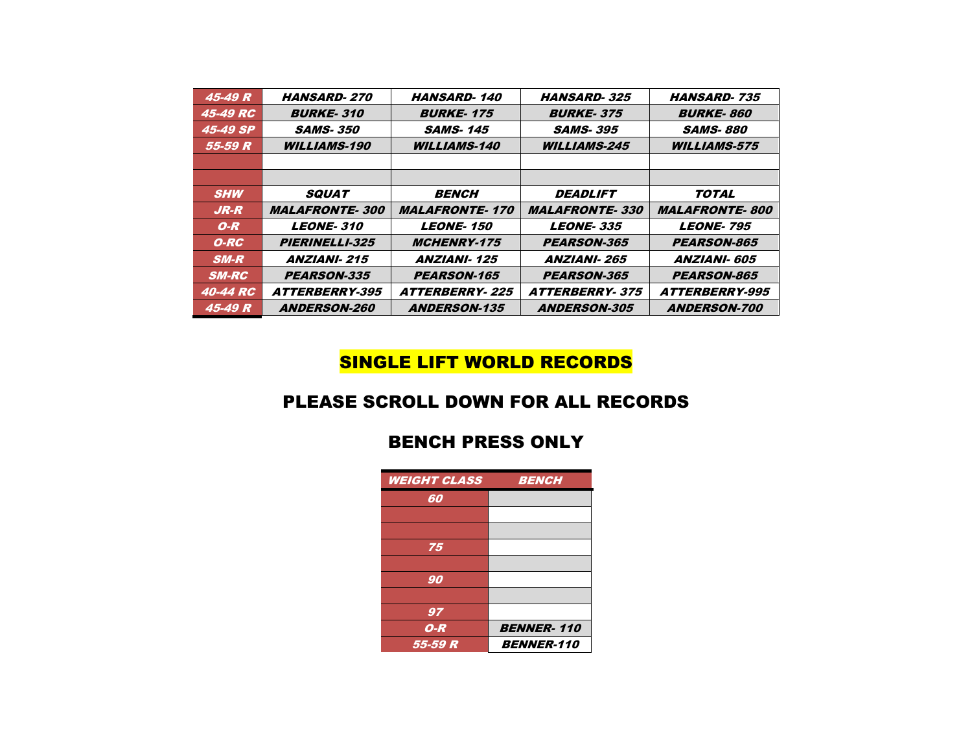| 45-49 R         | <b>HANSARD-270</b>           | <b>HANSARD-140</b>     | <b>HANSARD-325</b>     | <b>HANSARD-735</b>           |
|-----------------|------------------------------|------------------------|------------------------|------------------------------|
| 45-49 RC        | <b>BURKE-310</b>             | <b>BURKE-175</b>       | <b>BURKE-375</b>       | <b>BURKE-860</b>             |
| 45-49 SP        | <b>SAMS-350</b>              | <i><b>SAMS-145</b></i> | <b>SAMS-395</b>        | <i><b>SAMS- 880</b></i>      |
| 55-59 R         | <b>WILLIAMS-190</b>          | <b>WILLIAMS-140</b>    | <b>WILLIAMS-245</b>    | <b>WILLIAMS-575</b>          |
|                 |                              |                        |                        |                              |
|                 |                              |                        |                        |                              |
| <b>SHW</b>      | <b>SQUAT</b>                 | <b>BENCH</b>           | <i><b>DEADLIFT</b></i> | <b>TOTAL</b>                 |
|                 |                              |                        |                        |                              |
| $JR-R$          | <b>MALAFRONTE-300</b>        | <b>MALAFRONTE-170</b>  | <b>MALAFRONTE-330</b>  | <b>MALAFRONTE-800</b>        |
| $O-R$           | <b>LEONE-310</b>             | <b>LEONE-150</b>       | <b>LEONE-335</b>       | <b>LEONE-795</b>             |
| O-RC            | <b>PIERINELLI-325</b>        | <b>MCHENRY-175</b>     | <b>PEARSON-365</b>     | <b>PEARSON-865</b>           |
| $SM-R$          | <b>ANZIANI-215</b>           | <b>ANZIANI-125</b>     | <b>ANZIANI-265</b>     | <b>ANZIANI- 605</b>          |
| <b>SM-RC</b>    | <b>PEARSON-335</b>           | <b>PEARSON-165</b>     | <b>PEARSON-365</b>     | <b>PEARSON-865</b>           |
| <b>40-44 RC</b> | <i><b>ATTERBERRY-395</b></i> | <b>ATTERBERRY-225</b>  | <b>ATTERBERRY-375</b>  | <i><b>ATTERBERRY-995</b></i> |

# SINGLE LIFT WORLD RECORDS

#### PLEASE SCROLL DOWN FOR ALL RECORDS

#### BENCH PRESS ONLY

| <b>WEIGHT CLASS</b> | <b>BENCH</b>      |
|---------------------|-------------------|
| 60                  |                   |
|                     |                   |
|                     |                   |
| 75                  |                   |
|                     |                   |
| 90                  |                   |
|                     |                   |
| 97                  |                   |
| $O-R$               | <b>BENNER-110</b> |
| 55-59 R             | <b>BENNER-110</b> |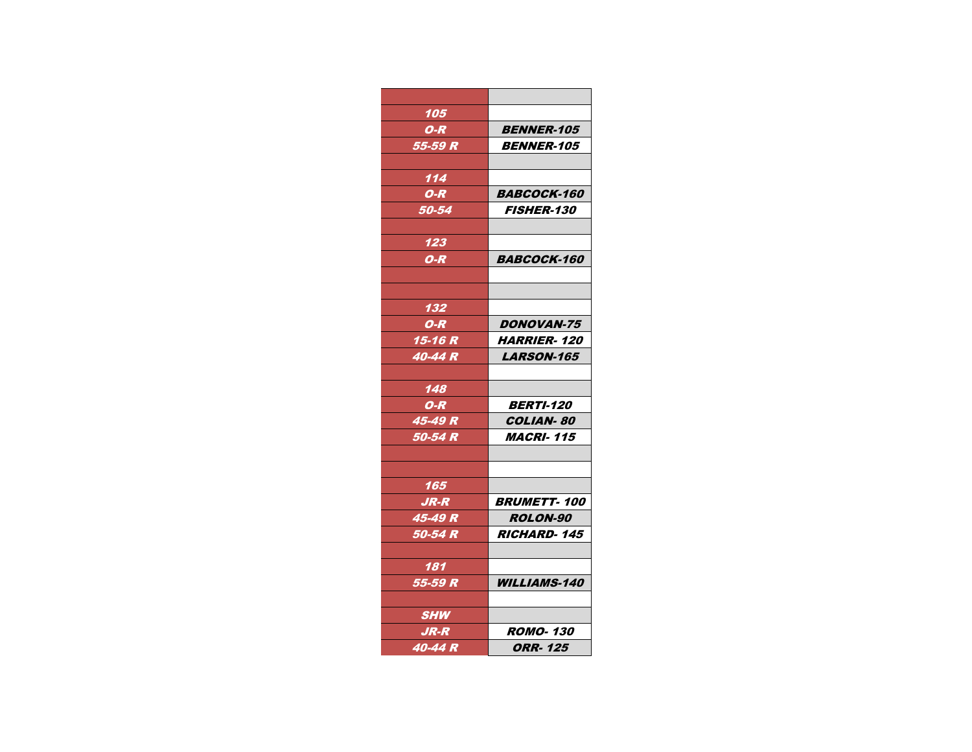| <b>BENNER-105</b>          |
|----------------------------|
| <i>BENNER-105</i>          |
|                            |
|                            |
| <i><b>BABCOCK-160</b></i>  |
| <i><b>FISHER-130</b></i>   |
|                            |
|                            |
| <b>BABCOCK-160</b>         |
|                            |
|                            |
|                            |
| <b>DONOVAN-75</b>          |
| <i><b>HARRIER- 120</b></i> |
| <i><b>LARSON-165</b></i>   |
|                            |
|                            |
| <b>BERTI-120</b>           |
| <b>COLIAN-80</b>           |
| <i><b>MACRI-115</b></i>    |
|                            |
|                            |
|                            |
| <b>BRUMETT-100</b>         |
| <b>ROLON-90</b>            |
| <b>RICHARD-145</b>         |
|                            |
|                            |
| <b>WILLIAMS-140</b>        |
|                            |
|                            |
| <b>ROMO-130</b>            |
| ORR- 125                   |
|                            |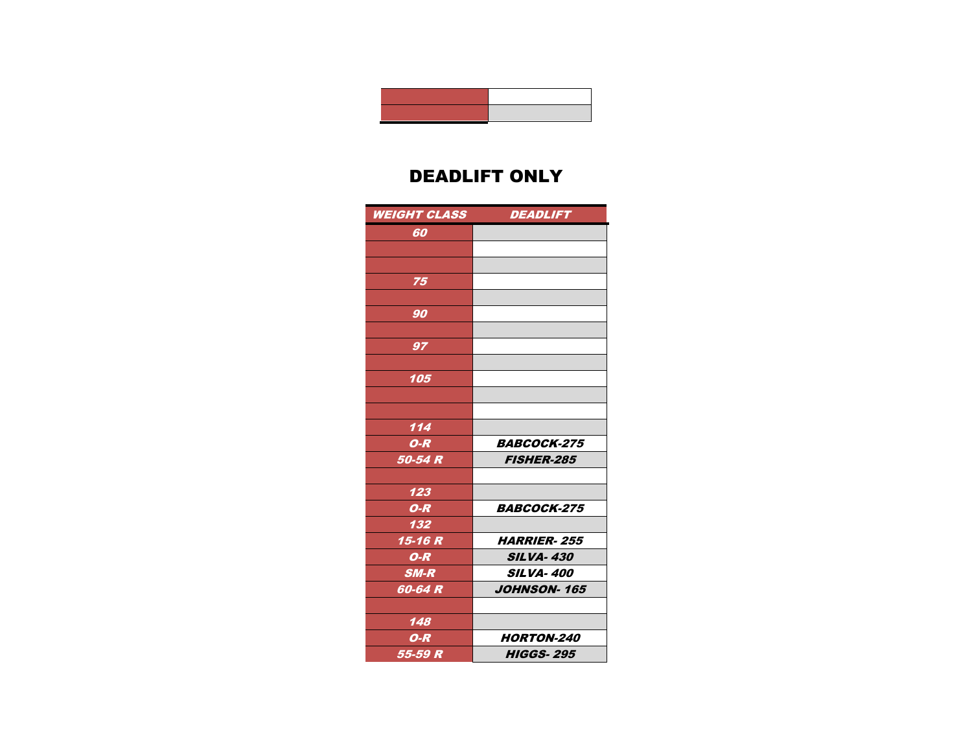

### DEADLIFT ONLY

| <b>WEIGHT CLASS</b> | <b>DEADLIFT</b>           |
|---------------------|---------------------------|
| 60                  |                           |
|                     |                           |
|                     |                           |
| 75                  |                           |
|                     |                           |
| 90                  |                           |
|                     |                           |
| 97                  |                           |
|                     |                           |
| 105                 |                           |
|                     |                           |
|                     |                           |
| 114                 |                           |
| $O-R$               | <b>BABCOCK-275</b>        |
| 50-54 R             | <b>FISHER-285</b>         |
|                     |                           |
| 123                 |                           |
| $O-R$               | <b>BABCOCK-275</b>        |
| 132                 |                           |
| 15-16 R             | <i><b>HARRIER-255</b></i> |
| $O-R$               | <b>SILVA-430</b>          |
| $SM-R$              | <b>SILVA-400</b>          |
| 60-64 R             | <b>JOHNSON-165</b>        |
|                     |                           |
| 148                 |                           |
| $O-R$               | <b>HORTON-240</b>         |
| 55-59 R             | <b>HIGGS-295</b>          |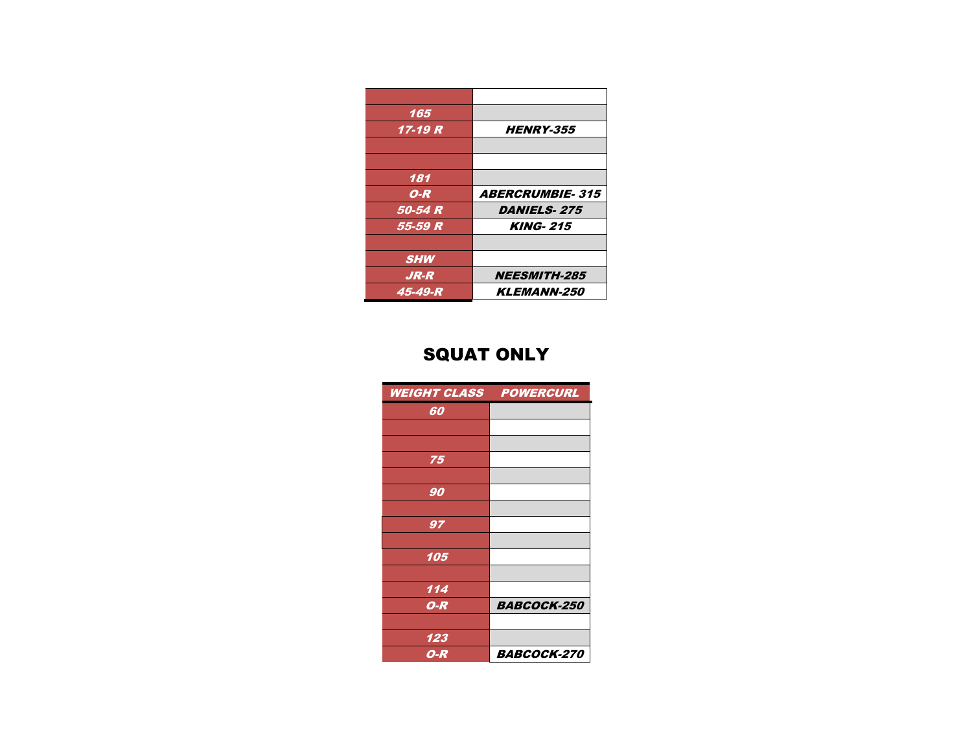| 165        |                        |
|------------|------------------------|
| 17-19 R    | <b>HENRY-355</b>       |
|            |                        |
|            |                        |
| 181        |                        |
| $O-R$      | <b>ABERCRUMBIE-315</b> |
| 50-54 R    | <b>DANIELS-275</b>     |
| 55-59 R    | <b>KING-215</b>        |
|            |                        |
| <b>SHW</b> |                        |
| $JR-R$     | <b>NEESMITH-285</b>    |
| 45-49-R    | <b>KLEMANN-250</b>     |

# SQUAT ONLY

| <b>WEIGHT CLASS POWERCURL</b> |                    |
|-------------------------------|--------------------|
| 60                            |                    |
|                               |                    |
|                               |                    |
| 75                            |                    |
|                               |                    |
| 90                            |                    |
|                               |                    |
| 97                            |                    |
|                               |                    |
| 105                           |                    |
|                               |                    |
| 114                           |                    |
| $O-R$                         | <b>BABCOCK-250</b> |
|                               |                    |
| 123                           |                    |
| O-R                           | <b>BABCOCK-270</b> |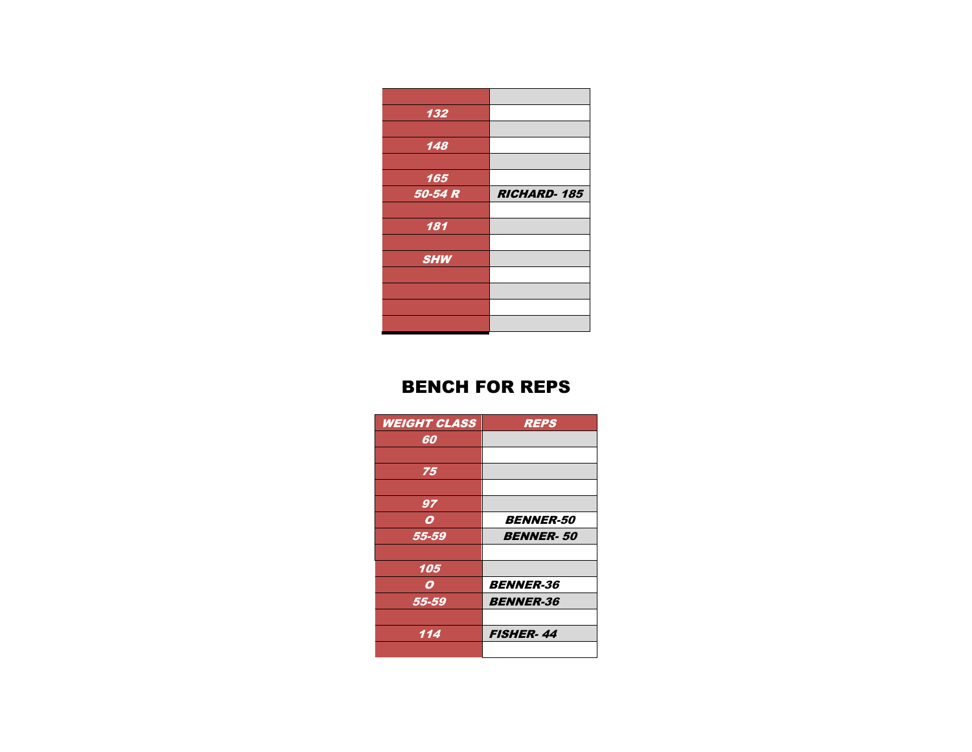| 132        |                    |
|------------|--------------------|
|            |                    |
| 148        |                    |
|            |                    |
| 165        |                    |
| 50-54 R    | <b>RICHARD-185</b> |
|            |                    |
|            |                    |
| 181        |                    |
|            |                    |
| <b>SHW</b> |                    |
|            |                    |
|            |                    |
|            |                    |

#### BENCH FOR REPS

| <b>WEIGHT CLASS</b> | <b>REPS</b>             |
|---------------------|-------------------------|
| 60                  |                         |
|                     |                         |
| 75                  |                         |
|                     |                         |
| 97                  |                         |
| 0                   | <i><b>BENNER-50</b></i> |
| 55-59               | <b>BENNER-50</b>        |
|                     |                         |
| 105                 |                         |
| 0                   | <b>BENNER-36</b>        |
| 55-59               | <b>BENNER-36</b>        |
|                     |                         |
| 114                 | <b>FISHER-44</b>        |
|                     |                         |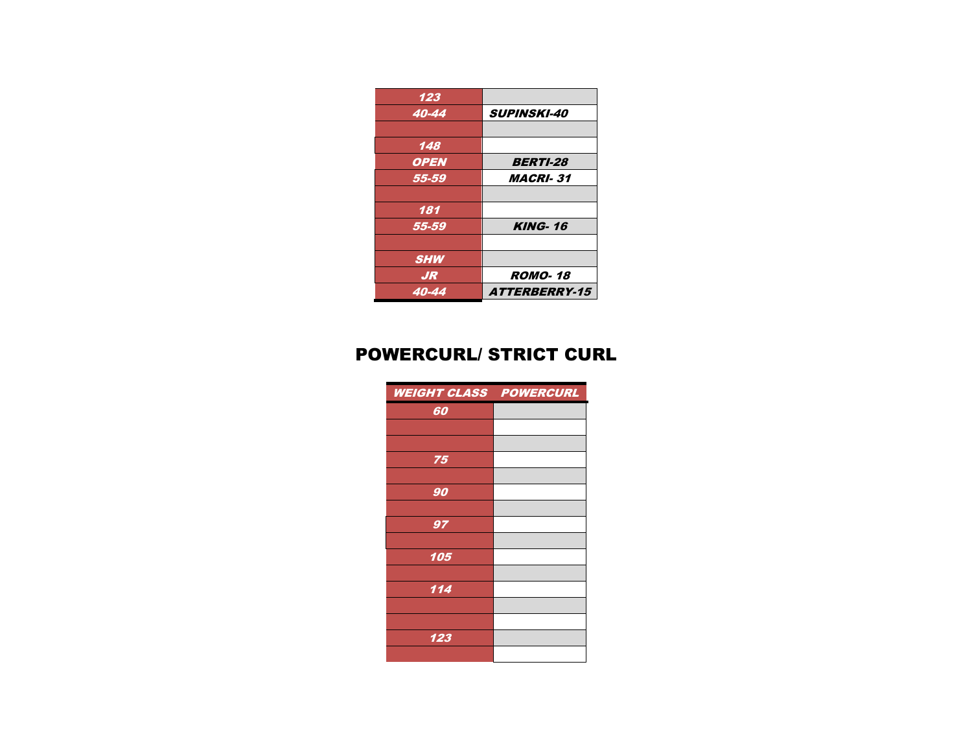| 123         |                             |
|-------------|-----------------------------|
| 40-44       | <b>SUPINSKI-40</b>          |
|             |                             |
| 148         |                             |
| <b>OPEN</b> | <b>BERTI-28</b>             |
| 55-59       | <b>MACRI-31</b>             |
|             |                             |
| 181         |                             |
| 55-59       | <b>KING-16</b>              |
|             |                             |
| <b>SHW</b>  |                             |
| <b>JR</b>   | <b>ROMO-18</b>              |
| 40-44       | <i><b>ATTERBERRY-15</b></i> |

# POWERCURL/ STRICT CURL

| <b>WEIGHT CLASS POWERCURL</b> |  |
|-------------------------------|--|
| 60                            |  |
|                               |  |
|                               |  |
| 75                            |  |
|                               |  |
| 90                            |  |
|                               |  |
| 97                            |  |
|                               |  |
| 105                           |  |
|                               |  |
| 114                           |  |
|                               |  |
|                               |  |
| 123                           |  |
|                               |  |